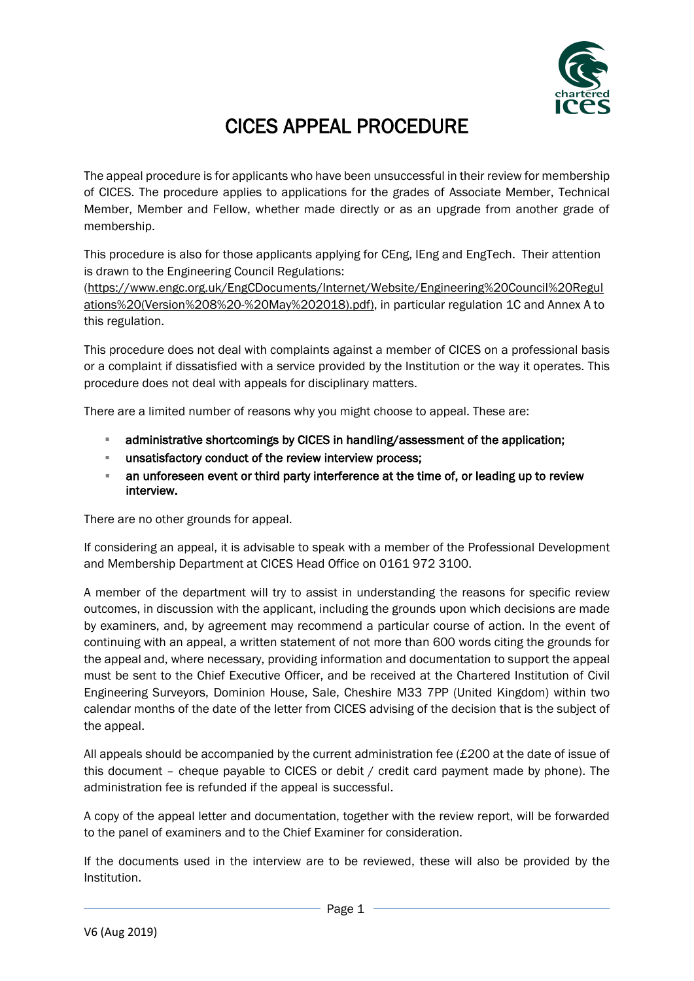

## CICES APPEAL PROCEDURE

The appeal procedure is for applicants who have been unsuccessful in their review for membership of CICES. The procedure applies to applications for the grades of Associate Member, Technical Member, Member and Fellow, whether made directly or as an upgrade from another grade of membership.

This procedure is also for those applicants applying for CEng, IEng and EngTech. Their attention is drawn to the Engineering Council Regulations:

[\(https://www.engc.org.uk/EngCDocuments/Internet/Website/Engineering%20Council%20Regul](https://www.engc.org.uk/EngCDocuments/Internet/Website/Engineering%20Council%20Regulations%20(Version%208%20-%20May%202018).pdf)) [ations%20\(Version%208%20-%20May%202018\).pdf\),](https://www.engc.org.uk/EngCDocuments/Internet/Website/Engineering%20Council%20Regulations%20(Version%208%20-%20May%202018).pdf)) in particular regulation 1C and Annex A to this regulation.

This procedure does not deal with complaints against a member of CICES on a professional basis or a complaint if dissatisfied with a service provided by the Institution or the way it operates. This procedure does not deal with appeals for disciplinary matters.

There are a limited number of reasons why you might choose to appeal. These are:

- administrative shortcomings by CICES in handling/assessment of the application;
- unsatisfactory conduct of the review interview process;
- **EXECT** an unforeseen event or third party interference at the time of, or leading up to review interview.

There are no other grounds for appeal.

If considering an appeal, it is advisable to speak with a member of the Professional Development and Membership Department at CICES Head Office on 0161 972 3100.

A member of the department will try to assist in understanding the reasons for specific review outcomes, in discussion with the applicant, including the grounds upon which decisions are made by examiners, and, by agreement may recommend a particular course of action. In the event of continuing with an appeal, a written statement of not more than 600 words citing the grounds for the appeal and, where necessary, providing information and documentation to support the appeal must be sent to the Chief Executive Officer, and be received at the Chartered Institution of Civil Engineering Surveyors, Dominion House, Sale, Cheshire M33 7PP (United Kingdom) within two calendar months of the date of the letter from CICES advising of the decision that is the subject of the appeal.

All appeals should be accompanied by the current administration fee  $(E200$  at the date of issue of this document – cheque payable to CICES or debit / credit card payment made by phone). The administration fee is refunded if the appeal is successful.

A copy of the appeal letter and documentation, together with the review report, will be forwarded to the panel of examiners and to the Chief Examiner for consideration.

If the documents used in the interview are to be reviewed, these will also be provided by the Institution.